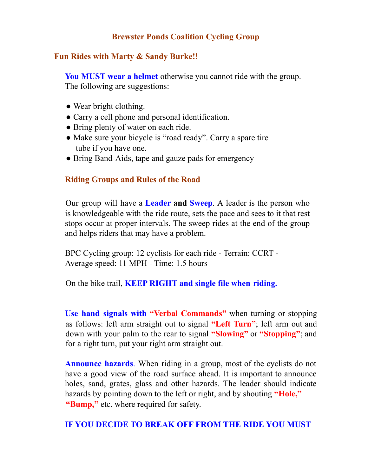## **Brewster Ponds Coalition Cycling Group**

## **Fun Rides with Marty & Sandy Burke!!**

**You MUST wear a helmet** otherwise you cannot ride with the group. The following are suggestions:

- Wear bright clothing.
- Carry a cell phone and personal identification.
- Bring plenty of water on each ride.
- Make sure your bicycle is "road ready". Carry a spare tire tube if you have one.
- Bring Band-Aids, tape and gauze pads for emergency

## **Riding Groups and Rules of the Road**

Our group will have a **Leader and Sweep**. A leader is the person who is knowledgeable with the ride route, sets the pace and sees to it that rest stops occur at proper intervals. The sweep rides at the end of the group and helps riders that may have a problem.

BPC Cycling group: 12 cyclists for each ride - Terrain: CCRT - Average speed: 11 MPH - Time: 1.5 hours

On the bike trail, **KEEP RIGHT and single file when riding.**

**Use hand signals with "Verbal Commands"** when turning or stopping as follows: left arm straight out to signal **"Left Turn"**; left arm out and down with your palm to the rear to signal **"Slowing"** or **"Stopping"**; and for a right turn, put your right arm straight out.

**Announce hazards**. When riding in a group, most of the cyclists do not have a good view of the road surface ahead. It is important to announce holes, sand, grates, glass and other hazards. The leader should indicate hazards by pointing down to the left or right, and by shouting **"Hole, "** "Bump," etc. where required for safety.

#### **IF YOU DECIDE TO BREAK OFF FROM THE RIDE YOU MUST**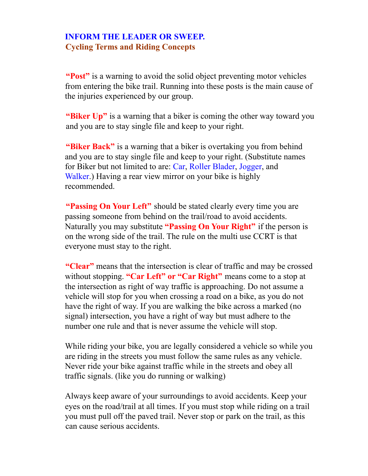# **INFORM THE LEADER OR SWEEP. Cycling Terms and Riding Concepts**

**"Post"** is a warning to avoid the solid object preventing motor vehicles from entering the bike trail. Running into these posts is the main cause of the injuries experienced by our group.

**"Biker Up"** is a warning that a biker is coming the other way toward you and you are to stay single file and keep to your right.

**"Biker Back"** is a warning that a biker is overtaking you from behind and you are to stay single file and keep to your right. (Substitute names for Biker but not limited to are: Car, Roller Blader, Jogger, and Walker.) Having a rear view mirror on your bike is highly recommended.

**"Passing On Your Left"** should be stated clearly every time you are passing someone from behind on the trail/road to avoid accidents. Naturally you may substitute **"Passing On Your Right"** if the person is on the wrong side of the trail. The rule on the multi use CCRT is that everyone must stay to the right.

**"Clear"** means that the intersection is clear of traffic and may be crossed without stopping. **"Car Left" or "Car Right"** means come to a stop at the intersection as right of way traffic is approaching. Do not assume a vehicle will stop for you when crossing a road on a bike, as you do not have the right of way. If you are walking the bike across a marked (no signal) intersection, you have a right of way but must adhere to the number one rule and that is never assume the vehicle will stop.

While riding your bike, you are legally considered a vehicle so while you are riding in the streets you must follow the same rules as any vehicle. Never ride your bike against traffic while in the streets and obey all traffic signals. (like you do running or walking)

Always keep aware of your surroundings to avoid accidents. Keep your eyes on the road/trail at all times. If you must stop while riding on a trail you must pull off the paved trail. Never stop or park on the trail, as this can cause serious accidents.